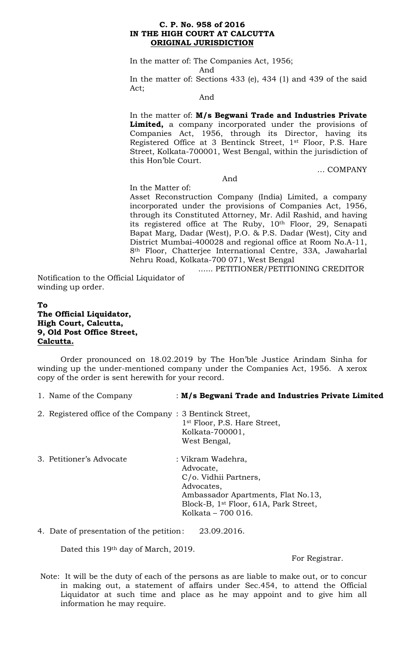### **C. P. No. 958 of 2016 IN THE HIGH COURT AT CALCUTTA ORIGINAL JURISDICTION**

In the matter of: The Companies Act, 1956;

And

In the matter of: Sections 433 (e), 434 (1) and 439 of the said Act;

And

In the matter of: **M/s Begwani Trade and Industries Private Limited,** a company incorporated under the provisions of Companies Act, 1956, through its Director, having its Registered Office at 3 Bentinck Street, 1st Floor, P.S. Hare Street, Kolkata-700001, West Bengal, within the jurisdiction of this Hon'ble Court.

… COMPANY

And

In the Matter of:

Asset Reconstruction Company (India) Limited, a company incorporated under the provisions of Companies Act, 1956, through its Constituted Attorney, Mr. Adil Rashid, and having its registered office at The Ruby, 10<sup>th</sup> Floor, 29, Senapati Bapat Marg, Dadar (West), P.O. & P.S. Dadar (West), City and District Mumbai-400028 and regional office at Room No.A-11, 8th Floor, Chatterjee International Centre, 33A, Jawaharlal Nehru Road, Kolkata-700 071, West Bengal

...... PETITIONER/PETITIONING CREDITOR

Notification to the Official Liquidator of winding up order.

# **To The Official Liquidator, High Court, Calcutta, 9, Old Post Office Street, Calcutta.**

Order pronounced on 18.02.2019 by The Hon'ble Justice Arindam Sinha for winding up the under-mentioned company under the Companies Act, 1956. A xerox copy of the order is sent herewith for your record.

| 1. Name of the Company | : M/s Begwani Trade and Industries Private Limited |
|------------------------|----------------------------------------------------|
|                        |                                                    |

- 2. Registered office of the Company : 3 Bentinck Street, 1st Floor, P.S. Hare Street, Kolkata-700001, West Bengal,
- 3. Petitioner's Advocate : Vikram Wadehra, Advocate, C/o. Vidhii Partners, Advocates, Ambassador Apartments, Flat No.13, Block-B, 1st Floor, 61A, Park Street, Kolkata – 700 016.

4. Date of presentation of the petition: 23.09.2016.

Dated this 19th day of March, 2019.

For Registrar.

Note: It will be the duty of each of the persons as are liable to make out, or to concur in making out, a statement of affairs under Sec.454, to attend the Official Liquidator at such time and place as he may appoint and to give him all information he may require.